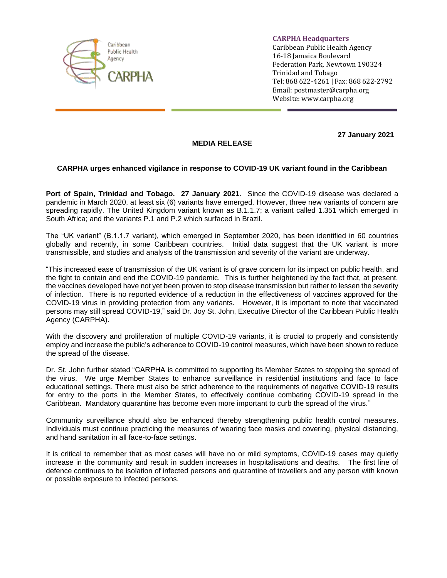

**CARPHA Headquarters**

Caribbean Public Health Agency 16-18 Jamaica Boulevard Federation Park, Newtown 190324 Trinidad and Tobago Tel: 868 622-4261 | Fax: 868 622-2792 Email: [postmaster@carpha.org](mailto:postmaster@carpha.org) Website[: www.carpha.org](http://www.carpha.org/)

**27 January 2021**

## **MEDIA RELEASE**

## **CARPHA urges enhanced vigilance in response to COVID-19 UK variant found in the Caribbean**

**Port of Spain, Trinidad and Tobago. 27 January 2021**. Since the COVID-19 disease was declared a pandemic in March 2020, at least six (6) variants have emerged. However, three new variants of concern are spreading rapidly. The United Kingdom variant known as B.1.1.7; a variant called 1.351 which emerged in South Africa; and the variants P.1 and P.2 which surfaced in Brazil.

The "UK variant" (B.1.1.7 variant), which emerged in September 2020, has been identified in 60 countries globally and recently, in some Caribbean countries. Initial data suggest that the UK variant is more transmissible, and studies and analysis of the transmission and severity of the variant are underway.

"This increased ease of transmission of the UK variant is of grave concern for its impact on public health, and the fight to contain and end the COVID-19 pandemic. This is further heightened by the fact that, at present, the vaccines developed have not yet been proven to stop disease transmission but rather to lessen the severity of infection. There is no reported evidence of a reduction in the effectiveness of vaccines approved for the COVID-19 virus in providing protection from any variants. However, it is important to note that vaccinated persons may still spread COVID-19," said Dr. Joy St. John, Executive Director of the Caribbean Public Health Agency (CARPHA).

With the discovery and proliferation of multiple COVID-19 variants, it is crucial to properly and consistently employ and increase the public's adherence to COVID-19 control measures, which have been shown to reduce the spread of the disease.

Dr. St. John further stated "CARPHA is committed to supporting its Member States to stopping the spread of the virus. We urge Member States to enhance surveillance in residential institutions and face to face educational settings. There must also be strict adherence to the requirements of negative COVID-19 results for entry to the ports in the Member States, to effectively continue combating COVID-19 spread in the Caribbean. Mandatory quarantine has become even more important to curb the spread of the virus."

Community surveillance should also be enhanced thereby strengthening public health control measures. Individuals must continue practicing the measures of wearing face masks and covering, physical distancing, and hand sanitation in all face-to-face settings.

It is critical to remember that as most cases will have no or mild symptoms, COVID-19 cases may quietly increase in the community and result in sudden increases in hospitalisations and deaths. The first line of defence continues to be isolation of infected persons and quarantine of travellers and any person with known or possible exposure to infected persons.